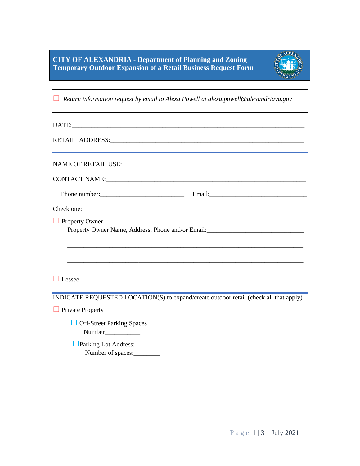

**□** *Return information request by email to Alexa Powell at alexa.powell@alexandriava.gov*

| CONTACT NAME: University of the contract of the contract of the contract of the contract of the contract of the contract of the contract of the contract of the contract of the contract of the contract of the contract of th |                                                                                   |
|--------------------------------------------------------------------------------------------------------------------------------------------------------------------------------------------------------------------------------|-----------------------------------------------------------------------------------|
|                                                                                                                                                                                                                                |                                                                                   |
| Check one:                                                                                                                                                                                                                     |                                                                                   |
| <b>Property Owner</b>                                                                                                                                                                                                          | Property Owner Name, Address, Phone and/or Email:________________________________ |
| Lessee                                                                                                                                                                                                                         |                                                                                   |
| INDICATE REQUESTED LOCATION(S) to expand/create outdoor retail (check all that apply)                                                                                                                                          |                                                                                   |
| <b>Private Property</b>                                                                                                                                                                                                        |                                                                                   |
| <b>Off-Street Parking Spaces</b>                                                                                                                                                                                               |                                                                                   |
|                                                                                                                                                                                                                                |                                                                                   |

Number of spaces: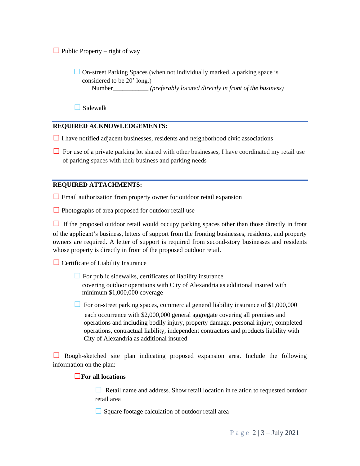$\Box$  Public Property – right of way

□ On-street Parking Spaces (when not individually marked, a parking space is considered to be 20' long.) Number\_\_\_\_\_\_\_\_\_\_\_ *(preferably located directly in front of the business)*

**□**Sidewalk

## **REQUIRED ACKNOWLEDGEMENTS:**

**□**<sup>I</sup> have notified adjacent businesses, residents and neighborhood civic associations

□ For use of a private parking lot shared with other businesses, I have coordinated my retail use of parking spaces with their business and parking needs

# **REQUIRED ATTACHMENTS:**

**□** Email authorization from property owner for outdoor retail expansion

□ Photographs of area proposed for outdoor retail use

□ If the proposed outdoor retail would occupy parking spaces other than those directly in front of the applicant's business, letters of support from the fronting businesses, residents, and property owners are required. A letter of support is required from second-story businesses and residents whose property is directly in front of the proposed outdoor retail.

**□** Certificate of Liability Insurance

- □ For public sidewalks, certificates of liability insurance covering outdoor operations with City of Alexandria as additional insured with minimum \$1,000,000 coverage
- **□** For on-street parking spaces, commercial general liability insurance of \$1,000,000

each occurrence with \$2,000,000 general aggregate covering all premises and operations and including bodily injury, property damage, personal injury, completed operations, contractual liability, independent contractors and products liability with City of Alexandria as additional insured

**□** Rough-sketched site plan indicating proposed expansion area. Include the following information on the plan:

### **□For all locations**

**□** Retail name and address. Show retail location in relation to requested outdoor retail area

**□**Square footage calculation of outdoor retail area